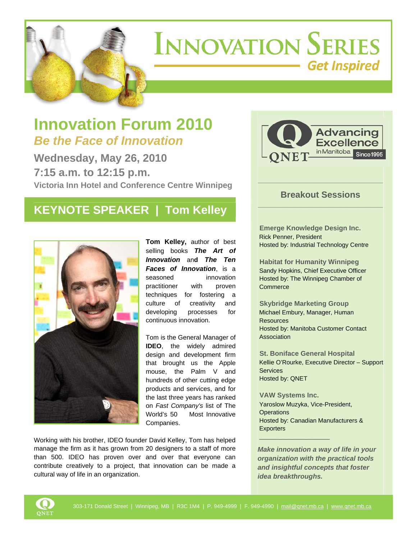

# **INNOVATION SERIES Get Inspired**

## **Innovation Forum 2010**  *Be the Face of Innovation*

**Wednesday, May 26, 2010 7:15 a.m. to 12:15 p.m. Victoria Inn Hotel and Conference Centre Winnipeg**



### **Breakout Sessions \_\_\_\_\_\_\_\_\_\_\_\_\_\_\_\_\_\_\_\_\_\_\_\_\_\_\_\_\_\_**

**\_\_\_\_\_\_\_\_\_\_\_\_\_\_\_\_\_\_\_\_\_\_\_\_\_\_\_\_\_\_**

### **KEYNOTE SPEAKER | Tom Kelley**



**Tom Kelley,** author of best selling books *The Art of Innovation* an**d** *The Ten Faces of Innovation*, is a seasoned innovation practitioner with proven techniques for fostering a culture of creativity and developing processes for continuous innovation.

Tom is the General Manager of **IDEO**, the widely admired design and development firm that brought us the Apple mouse, the Palm V and hundreds of other cutting edge products and services, and for the last three years has ranked on *Fast Company's* list of The World's 50 Most Innovative Companies.

Working with his brother, IDEO founder David Kelley, Tom has helped manage the firm as it has grown from 20 designers to a staff of more than 500. IDEO has proven over and over that everyone can contribute creatively to a project, that innovation can be made a cultural way of life in an organization.

 **Emerge Knowledge Design Inc.**  Rick Penner, President Hosted by: Industrial Technology Centre

 **Habitat for Humanity Winnipeg**  Sandy Hopkins, Chief Executive Officer Hosted by: The Winnipeg Chamber of Commerce

 **Skybridge Marketing Group**  Michael Embury, Manager, Human Resources Hosted by: Manitoba Customer Contact **Association** 

 **St. Boniface General Hospital**  Kellie O'Rourke, Executive Director – Support **Services** Hosted by: QNET

 **VAW Systems Inc.**  Yaroslow Muzyka, Vice-President, **Operations**  Hosted by: Canadian Manufacturers & **Exporters** 

 $\overline{\phantom{a}}$  , and the set of the set of the set of the set of the set of the set of the set of the set of the set of the set of the set of the set of the set of the set of the set of the set of the set of the set of the s

*Make innovation a way of life in your organization with the practical tools and insightful concepts that foster idea breakthroughs.*